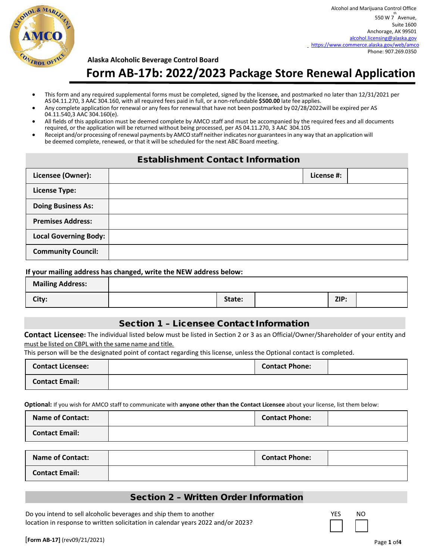

**Alaska Alcoholic Beverage Control Board Form AB-17b: 2022/2023 Package Store Renewal Application**

- This form and any required supplemental forms must be completed, signed by the licensee, and postmarked no later than 12/31/2021 per AS 04.11.270, 3 AAC 304.160, with all required fees paid in full, or a non-refundable **\$500.00** late fee applies.
- Any complete application for renewal or any feesfor renewal that have not been postmarked by 02/28/2022will be expired per AS 04.11.540,3 AAC 304.160(e).
- All fields of this application must be deemed complete by AMCO staff and must be accompanied by the required fees and all documents required, or the application will be returned without being processed, per AS 04.11.270, 3 AAC 304.105
- Receipt and/or processing of renewal payments by AMCO staff neither indicates nor guarantees in any way that an application will be deemed complete, renewed, or that it will be scheduled for the next ABC Board meeting.

#### Establishment Contact Information

| Licensee (Owner):            | License #: |  |
|------------------------------|------------|--|
| <b>License Type:</b>         |            |  |
| <b>Doing Business As:</b>    |            |  |
| <b>Premises Address:</b>     |            |  |
| <b>Local Governing Body:</b> |            |  |
| <b>Community Council:</b>    |            |  |

#### **If your mailing address has changed, write the NEW address below:**

| <b>Mailing Address:</b> |        |      |  |
|-------------------------|--------|------|--|
| City:                   | State: | ZIP: |  |

#### Section 1 – Licensee Contact Information

**Contact Licensee:** The individual listed below must be listed in Section 2 or 3 as an Official/Owner/Shareholder of your entity and must be listed on CBPL with the same name and title*.* 

This person will be the designated point of contact regarding this license, unless the Optional contact is completed.

| <b>Contact Licensee:</b> | <b>Contact Phone:</b> |  |
|--------------------------|-----------------------|--|
| <b>Contact Email:</b>    |                       |  |

**Optional:** If you wish for AMCO staff to communicate with **anyone other than the Contact Licensee** about your license, list them below:

| <b>Name of Contact:</b> | <b>Contact Phone:</b> |  |
|-------------------------|-----------------------|--|
| <b>Contact Email:</b>   |                       |  |

| <b>Name of Contact:</b> | <b>Contact Phone:</b> |  |
|-------------------------|-----------------------|--|
| <b>Contact Email:</b>   |                       |  |

#### Section 2 – Written Order Information

Do you intend to sell alcoholic beverages and ship them to another NES NOST NOST AND MESS NOT MESS NOT THE STA location in response to written solicitation in calendar years 2022 and/or 2023?

| J |
|---|
|   |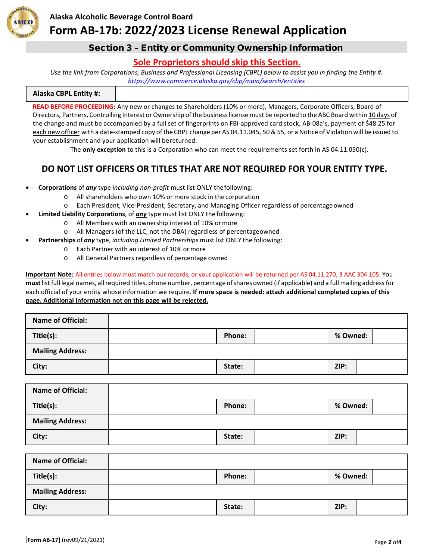

## **Alaska Alcoholic Beverage Control Board Form AB-17b: 2022/2023 License Renewal Application**

#### Section 3 – Entity or Community Ownership Information

#### **Sole Proprietors should skip this Section.**

*Use the link from Corporations, Business and Professional Licensing (CBPL) below to assist you in finding the Entity #. <https://www.commerce.alaska.gov/cbp/main/search/entities>*

**READ BEFORE PROCEEDING:** Any new or changes to Shareholders (10% or more), Managers, Corporate Officers, Board of Directors, Partners, Controlling Interest orOwnership ofthe businesslicense must be reported to the ABC Board within 10 days of the change and must be accompanied by a full set of fingerprints on FBI-approved card stock, AB-08a's, payment of \$48.25 for each new officer with a date-stamped copy of the CBPL change per AS 04.11.045, 50 & 55, or a Notice of Violation will be issued to your establishment and your application will bereturned.

The **only exception** to this is a Corporation who can meet the requirements set forth in AS 04.11.050(c).

## **DO NOT LIST OFFICERS OR TITLES THAT ARE NOT REQUIRED FOR YOUR ENTITY TYPE.**

- **Corporations** of *any* type *including non-profit* must list ONLY thefollowing:
	- o All shareholders who own 10% or more stock in the corporation<br>
	o Each President, Vice-President. Secretary. and Managing Officer
		- Each President, Vice-President, Secretary, and Managing Officer regardless of percentage owned
- **Limited Liability Corporations**, of *any* type must list ONLY the following:
	- o All Members with an ownership interest of 10% ormore
	- o All Managers (of the LLC, not the DBA) regardless of percentageowned
- **Partnerships** of *any* type, *including Limited Partnership*s must list ONLY the following:
	- o Each Partner with an interest of 10% ormore
	- o All General Partners regardless of percentage owned

**Important Note:** All entries below must match our records, or your application will be returned per AS 04.11.270, 3 AAC 304.105. You **must**list full legal names, allrequired titles, phone number, percentage ofshares owned (if applicable) and a full mailing addressfor each official of your entity whose information we require. **If more space is needed: attach additional completed copies of this page. Additional information not on this page will be rejected.**

| <b>Name of Official:</b> |               |          |  |
|--------------------------|---------------|----------|--|
| Title(s):                | <b>Phone:</b> | % Owned: |  |
| <b>Mailing Address:</b>  |               |          |  |
| City:                    | State:        | ZIP:     |  |
|                          |               |          |  |

| <b>Name of Official:</b> |        |          |  |
|--------------------------|--------|----------|--|
| Title(s):                | Phone: | % Owned: |  |
| <b>Mailing Address:</b>  |        |          |  |
| City:                    | State: | ZIP:     |  |

| <b>Name of Official:</b> |        |          |  |
|--------------------------|--------|----------|--|
| Title(s):                | Phone: | % Owned: |  |
| <b>Mailing Address:</b>  |        |          |  |
| City:                    | State: | ZIP:     |  |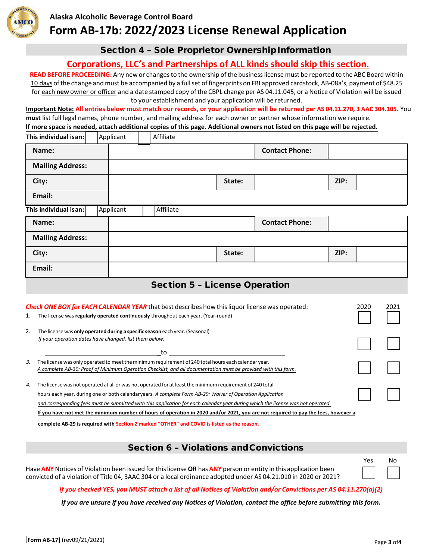

# **Alaska Alcoholic Beverage Control Board Form AB-17b: 2022/2023 License Renewal Application**

#### Section 4 - Sole Proprietor Ownership Information

#### **Corporations, LLC's and Partnerships of ALL kinds should skip this section.**

**READ BEFORE PROCEEDING:** Any new or changesto the ownership ofthe businesslicense must be reported to the ABC Board within 10 days ofthe change and must be accompanied by a fullset offingerprints on FBI approved cardstock, AB-08a's, payment of \$48.25 for each new owner or officer and a date stamped copy of the CBPL change per AS 04.11.045, or a Notice of Violation will be issued to your establishment and your application will be returned.

**Important Note: All entries below must match our records, or your application will be returned per AS 04.11.270, 3 AAC 304.105.** You **must** list full legal names, phone number, and mailing address for each owner or partner whose information we require. **If more space is needed, attach additional copies of this page. Additional owners not listed on this page will be rejected.**

| This individual isan:   | Applicant | Affiliate |        |                       |      |  |
|-------------------------|-----------|-----------|--------|-----------------------|------|--|
| Name:                   |           |           |        | <b>Contact Phone:</b> |      |  |
| <b>Mailing Address:</b> |           |           |        |                       |      |  |
| City:                   |           |           | State: |                       | ZIP: |  |
| Email:                  |           |           |        |                       |      |  |
| This individual is an:  | Applicant | Affiliate |        |                       |      |  |
| Name:                   |           |           |        | <b>Contact Phone:</b> |      |  |
| <b>Mailing Address:</b> |           |           |        |                       |      |  |
| City:                   |           |           | State: |                       | ZIP: |  |
| Email:                  |           |           |        |                       |      |  |

## Section 5 – License Operation

| 1. | Check ONE BOX for EACH CALENDAR YEAR that best describes how this liquor license was operated:<br>The license was regularly operated continuously throughout each year. (Year-round)                                   | 2020 | 2021 |
|----|------------------------------------------------------------------------------------------------------------------------------------------------------------------------------------------------------------------------|------|------|
| 2. | The license was only operated during a specific season each year. (Seasonal)                                                                                                                                           |      |      |
|    | If your operation dates have changed, list them below:                                                                                                                                                                 |      |      |
|    | to                                                                                                                                                                                                                     |      |      |
| 3. | The license was only operated to meet the minimum requirement of 240 total hours each calendar year.<br>A complete AB-30: Proof of Minimum Operation Checklist, and all documentation must be provided with this form. |      |      |
| 4. | The license was not operated at all or was not operated for at least the minimum requirement of 240 total                                                                                                              |      |      |
|    | hours each year, during one or both calendaryears. A complete Form AB-29: Waiver of Operation Application                                                                                                              |      |      |
|    | and corresponding fees must be submitted with this application for each calendar year during which the license was not operated.                                                                                       |      |      |
|    | If you have not met the minimum number of hours of operation in 2020 and/or 2021, you are not required to pay the fees, however a                                                                                      |      |      |

**complete AB-29 is required with Section 2 marked "OTHER" and COVID is listed as the reason.**

## Section 6 - Violations and Convictions

Have **ANY** Notices of Violation been issued for thislicense **OR** has **ANY** person or entity in this application been convicted of a violation of Title 04, 3AAC 304 or a local ordinance adopted under AS 04.21.010 in 2020 or 2021?

*If you checked YES, you MUST attach a list of all Notices of Violation and/or Convictions per AS 04.11.270(a)(2)*

*If you are unsure if you have received any Notices of Violation, contact the office before submitting this form.*

Yes No